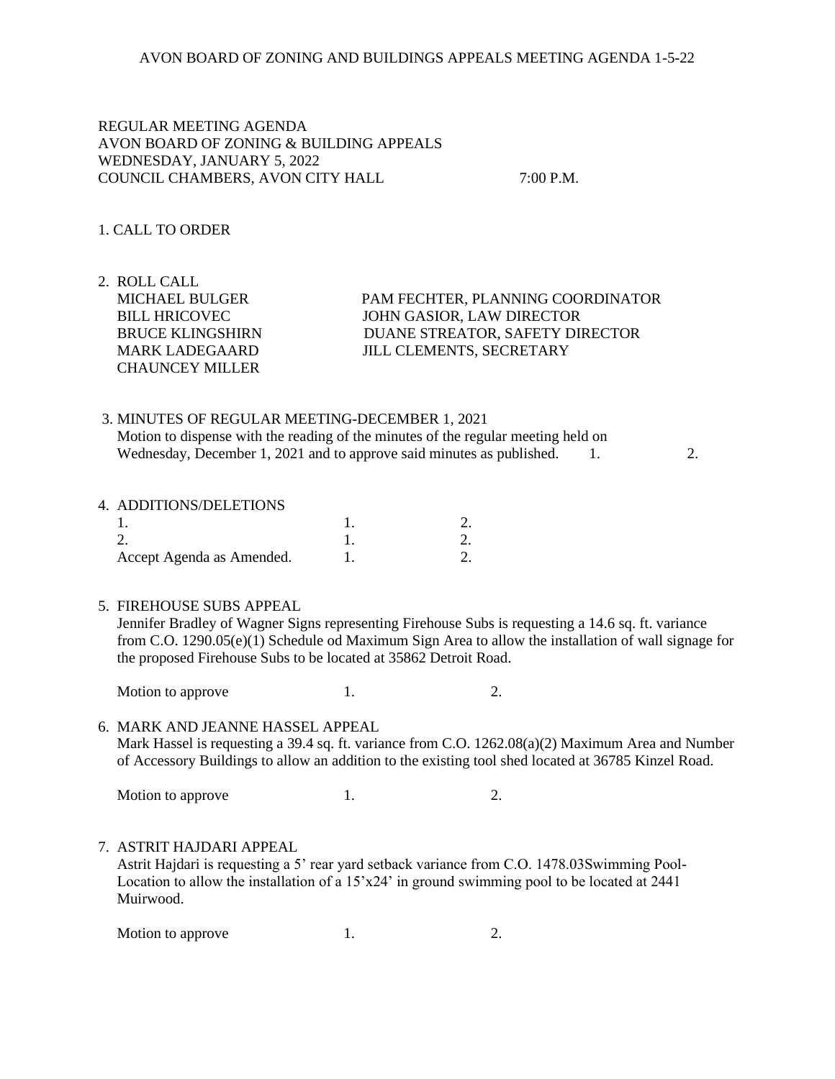## REGULAR MEETING AGENDA AVON BOARD OF ZONING & BUILDING APPEALS WEDNESDAY, JANUARY 5, 2022 COUNCIL CHAMBERS, AVON CITY HALL 7:00 P.M.

### 1. CALL TO ORDER

2. ROLL CALL CHAUNCEY MILLER

 MICHAEL BULGER PAM FECHTER, PLANNING COORDINATOR BILL HRICOVEC JOHN GASIOR, LAW DIRECTOR BRUCE KLINGSHIRN DUANE STREATOR, SAFETY DIRECTOR MARK LADEGAARD JILL CLEMENTS, SECRETARY

# 3. MINUTES OF REGULAR MEETING-DECEMBER 1, 2021 Motion to dispense with the reading of the minutes of the regular meeting held on Wednesday, December 1, 2021 and to approve said minutes as published. 1. 2.

#### 4. ADDITIONS/DELETIONS

| Accept Agenda as Amended. |  |
|---------------------------|--|

#### 5. FIREHOUSE SUBS APPEAL

 Jennifer Bradley of Wagner Signs representing Firehouse Subs is requesting a 14.6 sq. ft. variance from C.O. 1290.05(e)(1) Schedule od Maximum Sign Area to allow the installation of wall signage for the proposed Firehouse Subs to be located at 35862 Detroit Road.

Motion to approve 1. 2.

6. MARK AND JEANNE HASSEL APPEAL Mark Hassel is requesting a 39.4 sq. ft. variance from C.O. 1262.08(a)(2) Maximum Area and Number of Accessory Buildings to allow an addition to the existing tool shed located at 36785 Kinzel Road.

Motion to approve  $1.$  2.

### 7. ASTRIT HAJDARI APPEAL

 Astrit Hajdari is requesting a 5' rear yard setback variance from C.O. 1478.03Swimming Pool- Location to allow the installation of a  $15'x24'$  in ground swimming pool to be located at 2441 Muirwood.

| Motion to approve |  |  |
|-------------------|--|--|
|-------------------|--|--|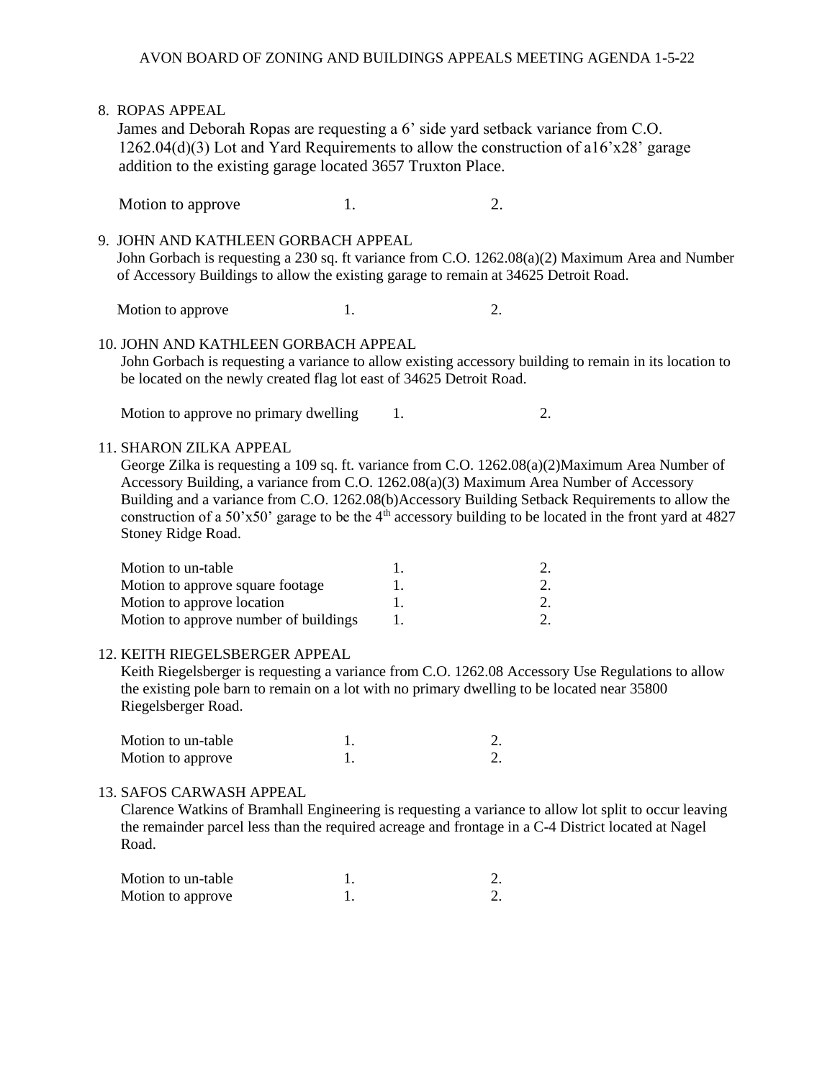8. ROPAS APPEAL James and Deborah Ropas are requesting a 6' side yard setback variance from C.O. 1262.04(d)(3) Lot and Yard Requirements to allow the construction of a16'x28' garage addition to the existing garage located 3657 Truxton Place. Motion to approve 1. 2. 9. JOHN AND KATHLEEN GORBACH APPEAL John Gorbach is requesting a 230 sq. ft variance from C.O. 1262.08(a)(2) Maximum Area and Number of Accessory Buildings to allow the existing garage to remain at 34625 Detroit Road. Motion to approve 1. 2. 10. JOHN AND KATHLEEN GORBACH APPEAL John Gorbach is requesting a variance to allow existing accessory building to remain in its location to be located on the newly created flag lot east of 34625 Detroit Road. Motion to approve no primary dwelling  $1.$  2. 11. SHARON ZILKA APPEAL George Zilka is requesting a 109 sq. ft. variance from C.O. 1262.08(a)(2)Maximum Area Number of Accessory Building, a variance from C.O. 1262.08(a)(3) Maximum Area Number of Accessory Building and a variance from C.O. 1262.08(b)Accessory Building Setback Requirements to allow the construction of a 50'x50' garage to be the 4<sup>th</sup> accessory building to be located in the front yard at 4827 Stoney Ridge Road. Motion to un-table 1. 2. Motion to approve square footage 1. 2. Motion to approve location 1. 2. Motion to approve number of buildings 1. 2. 12. KEITH RIEGELSBERGER APPEAL Keith Riegelsberger is requesting a variance from C.O. 1262.08 Accessory Use Regulations to allow the existing pole barn to remain on a lot with no primary dwelling to be located near 35800 Riegelsberger Road. Motion to un-table 1. 2. Motion to approve 1. 2.

#### 13. SAFOS CARWASH APPEAL

 Clarence Watkins of Bramhall Engineering is requesting a variance to allow lot split to occur leaving the remainder parcel less than the required acreage and frontage in a C-4 District located at Nagel Road.

| Motion to un-table |  |
|--------------------|--|
| Motion to approve  |  |